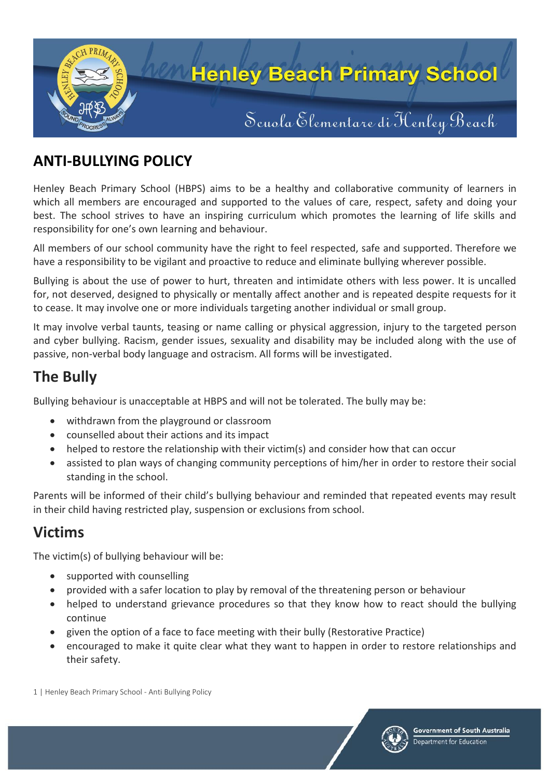

### **ANTI-BULLYING POLICY**

Henley Beach Primary School (HBPS) aims to be a healthy and collaborative community of learners in which all members are encouraged and supported to the values of care, respect, safety and doing your best. The school strives to have an inspiring curriculum which promotes the learning of life skills and responsibility for one's own learning and behaviour.

All members of our school community have the right to feel respected, safe and supported. Therefore we have a responsibility to be vigilant and proactive to reduce and eliminate bullying wherever possible.

Bullying is about the use of power to hurt, threaten and intimidate others with less power. It is uncalled for, not deserved, designed to physically or mentally affect another and is repeated despite requests for it to cease. It may involve one or more individuals targeting another individual or small group.

It may involve verbal taunts, teasing or name calling or physical aggression, injury to the targeted person and cyber bullying. Racism, gender issues, sexuality and disability may be included along with the use of passive, non-verbal body language and ostracism. All forms will be investigated.

### **The Bully**

Bullying behaviour is unacceptable at HBPS and will not be tolerated. The bully may be:

- withdrawn from the playground or classroom
- counselled about their actions and its impact
- helped to restore the relationship with their victim(s) and consider how that can occur
- assisted to plan ways of changing community perceptions of him/her in order to restore their social standing in the school.

Parents will be informed of their child's bullying behaviour and reminded that repeated events may result in their child having restricted play, suspension or exclusions from school.

#### **Victims**

The victim(s) of bullying behaviour will be:

- supported with counselling
- provided with a safer location to play by removal of the threatening person or behaviour
- helped to understand grievance procedures so that they know how to react should the bullying continue
- given the option of a face to face meeting with their bully (Restorative Practice)
- encouraged to make it quite clear what they want to happen in order to restore relationships and their safety.

1 | Henley Beach Primary School - Anti Bullying Policy